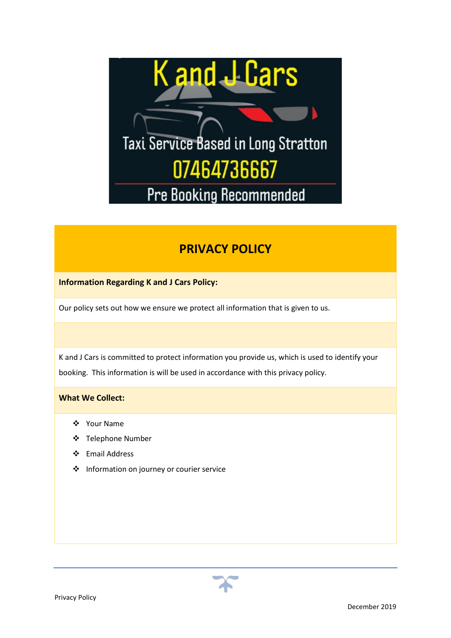

# **PRIVACY POLICY**

**Information Regarding K and J Cars Policy:**

Our policy sets out how we ensure we protect all information that is given to us.

K and J Cars is committed to protect information you provide us, which is used to identify your booking. This information is will be used in accordance with this privacy policy.

# **What We Collect:**

- ❖ Your Name
- ❖ Telephone Number
- ❖ Email Address
- ❖ Information on journey or courier service